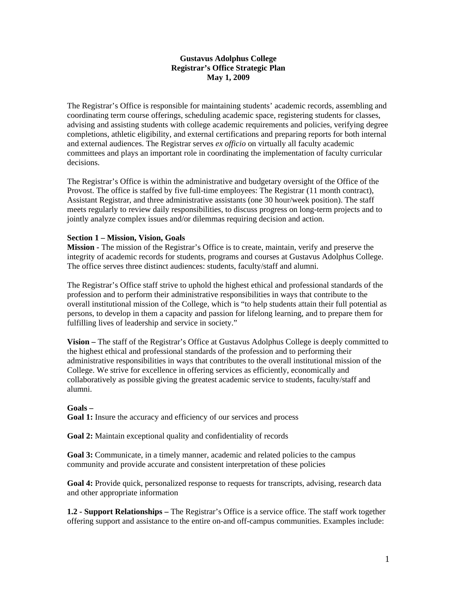## **Gustavus Adolphus College Registrar's Office Strategic Plan May 1, 2009**

The Registrar's Office is responsible for maintaining students' academic records, assembling and coordinating term course offerings, scheduling academic space, registering students for classes, advising and assisting students with college academic requirements and policies, verifying degree completions, athletic eligibility, and external certifications and preparing reports for both internal and external audiences. The Registrar serves *ex officio* on virtually all faculty academic committees and plays an important role in coordinating the implementation of faculty curricular decisions.

The Registrar's Office is within the administrative and budgetary oversight of the Office of the Provost. The office is staffed by five full-time employees: The Registrar (11 month contract), Assistant Registrar, and three administrative assistants (one 30 hour/week position). The staff meets regularly to review daily responsibilities, to discuss progress on long-term projects and to jointly analyze complex issues and/or dilemmas requiring decision and action.

# **Section 1 – Mission, Vision, Goals**

**Mission -** The mission of the Registrar's Office is to create, maintain, verify and preserve the integrity of academic records for students, programs and courses at Gustavus Adolphus College. The office serves three distinct audiences: students, faculty/staff and alumni.

The Registrar's Office staff strive to uphold the highest ethical and professional standards of the profession and to perform their administrative responsibilities in ways that contribute to the overall institutional mission of the College, which is "to help students attain their full potential as persons, to develop in them a capacity and passion for lifelong learning, and to prepare them for fulfilling lives of leadership and service in society."

**Vision –** The staff of the Registrar's Office at Gustavus Adolphus College is deeply committed to the highest ethical and professional standards of the profession and to performing their administrative responsibilities in ways that contributes to the overall institutional mission of the College. We strive for excellence in offering services as efficiently, economically and collaboratively as possible giving the greatest academic service to students, faculty/staff and alumni.

# **Goals –**

**Goal 1:** Insure the accuracy and efficiency of our services and process

**Goal 2:** Maintain exceptional quality and confidentiality of records

Goal 3: Communicate, in a timely manner, academic and related policies to the campus community and provide accurate and consistent interpretation of these policies

**Goal 4:** Provide quick, personalized response to requests for transcripts, advising, research data and other appropriate information

**1.2 - Support Relationships –** The Registrar's Office is a service office. The staff work together offering support and assistance to the entire on-and off-campus communities. Examples include: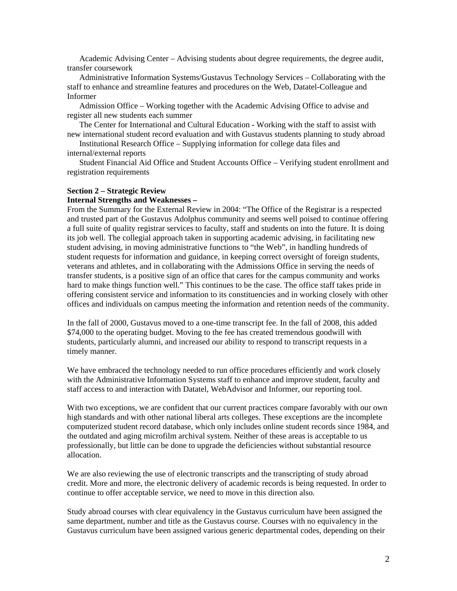Academic Advising Center – Advising students about degree requirements, the degree audit, transfer coursework

 Administrative Information Systems/Gustavus Technology Services – Collaborating with the staff to enhance and streamline features and procedures on the Web, Datatel-Colleague and Informer

 Admission Office – Working together with the Academic Advising Office to advise and register all new students each summer

 The Center for International and Cultural Education - Working with the staff to assist with new international student record evaluation and with Gustavus students planning to study abroad

 Institutional Research Office – Supplying information for college data files and internal/external reports

 Student Financial Aid Office and Student Accounts Office – Verifying student enrollment and registration requirements

#### **Section 2 – Strategic Review**

### **Internal Strengths and Weaknesses –**

From the Summary for the External Review in 2004: "The Office of the Registrar is a respected and trusted part of the Gustavus Adolphus community and seems well poised to continue offering a full suite of quality registrar services to faculty, staff and students on into the future. It is doing its job well. The collegial approach taken in supporting academic advising, in facilitating new student advising, in moving administrative functions to "the Web", in handling hundreds of student requests for information and guidance, in keeping correct oversight of foreign students, veterans and athletes, and in collaborating with the Admissions Office in serving the needs of transfer students, is a positive sign of an office that cares for the campus community and works hard to make things function well." This continues to be the case. The office staff takes pride in offering consistent service and information to its constituencies and in working closely with other offices and individuals on campus meeting the information and retention needs of the community.

In the fall of 2000, Gustavus moved to a one-time transcript fee. In the fall of 2008, this added \$74,000 to the operating budget. Moving to the fee has created tremendous goodwill with students, particularly alumni, and increased our ability to respond to transcript requests in a timely manner.

We have embraced the technology needed to run office procedures efficiently and work closely with the Administrative Information Systems staff to enhance and improve student, faculty and staff access to and interaction with Datatel, WebAdvisor and Informer, our reporting tool.

With two exceptions, we are confident that our current practices compare favorably with our own high standards and with other national liberal arts colleges. These exceptions are the incomplete computerized student record database, which only includes online student records since 1984, and the outdated and aging microfilm archival system. Neither of these areas is acceptable to us professionally, but little can be done to upgrade the deficiencies without substantial resource allocation.

We are also reviewing the use of electronic transcripts and the transcripting of study abroad credit. More and more, the electronic delivery of academic records is being requested. In order to continue to offer acceptable service, we need to move in this direction also.

Study abroad courses with clear equivalency in the Gustavus curriculum have been assigned the same department, number and title as the Gustavus course. Courses with no equivalency in the Gustavus curriculum have been assigned various generic departmental codes, depending on their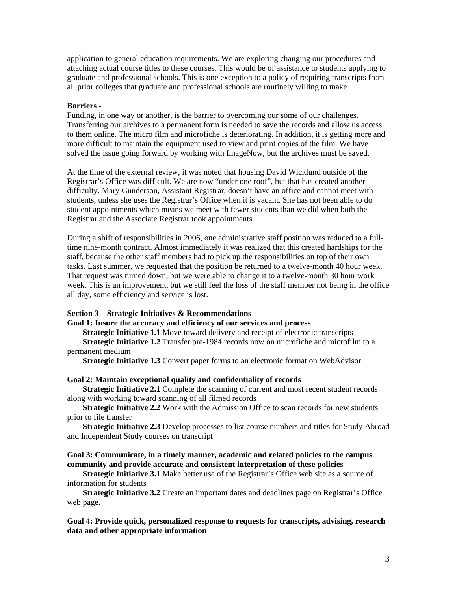application to general education requirements. We are exploring changing our procedures and attaching actual course titles to these courses. This would be of assistance to students applying to graduate and professional schools. This is one exception to a policy of requiring transcripts from all prior colleges that graduate and professional schools are routinely willing to make.

### **Barriers -**

Funding, in one way or another, is the barrier to overcoming our some of our challenges. Transferring our archives to a permanent form is needed to save the records and allow us access to them online. The micro film and microfiche is deteriorating. In addition, it is getting more and more difficult to maintain the equipment used to view and print copies of the film. We have solved the issue going forward by working with ImageNow, but the archives must be saved.

At the time of the external review, it was noted that housing David Wicklund outside of the Registrar's Office was difficult. We are now "under one roof", but that has created another difficulty. Mary Gunderson, Assistant Registrar, doesn't have an office and cannot meet with students, unless she uses the Registrar's Office when it is vacant. She has not been able to do student appointments which means we meet with fewer students than we did when both the Registrar and the Associate Registrar took appointments.

During a shift of responsibilities in 2006, one administrative staff position was reduced to a fulltime nine-month contract. Almost immediately it was realized that this created hardships for the staff, because the other staff members had to pick up the responsibilities on top of their own tasks. Last summer, we requested that the position be returned to a twelve-month 40 hour week. That request was turned down, but we were able to change it to a twelve-month 30 hour work week. This is an improvement, but we still feel the loss of the staff member not being in the office all day, some efficiency and service is lost.

### **Section 3 – Strategic Initiatives & Recommendations**

### **Goal 1: Insure the accuracy and efficiency of our services and process**

**Strategic Initiative 1.1** Move toward delivery and receipt of electronic transcripts – **Strategic Initiative 1.2** Transfer pre-1984 records now on microfiche and microfilm to a permanent medium

**Strategic Initiative 1.3** Convert paper forms to an electronic format on WebAdvisor

### **Goal 2: Maintain exceptional quality and confidentiality of records**

**Strategic Initiative 2.1** Complete the scanning of current and most recent student records along with working toward scanning of all filmed records

**Strategic Initiative 2.2** Work with the Admission Office to scan records for new students prior to file transfer

**Strategic Initiative 2.3** Develop processes to list course numbers and titles for Study Abroad and Independent Study courses on transcript

## **Goal 3: Communicate, in a timely manner, academic and related policies to the campus community and provide accurate and consistent interpretation of these policies**

**Strategic Initiative 3.1** Make better use of the Registrar's Office web site as a source of information for students

**Strategic Initiative 3.2** Create an important dates and deadlines page on Registrar's Office web page.

# **Goal 4: Provide quick, personalized response to requests for transcripts, advising, research data and other appropriate information**